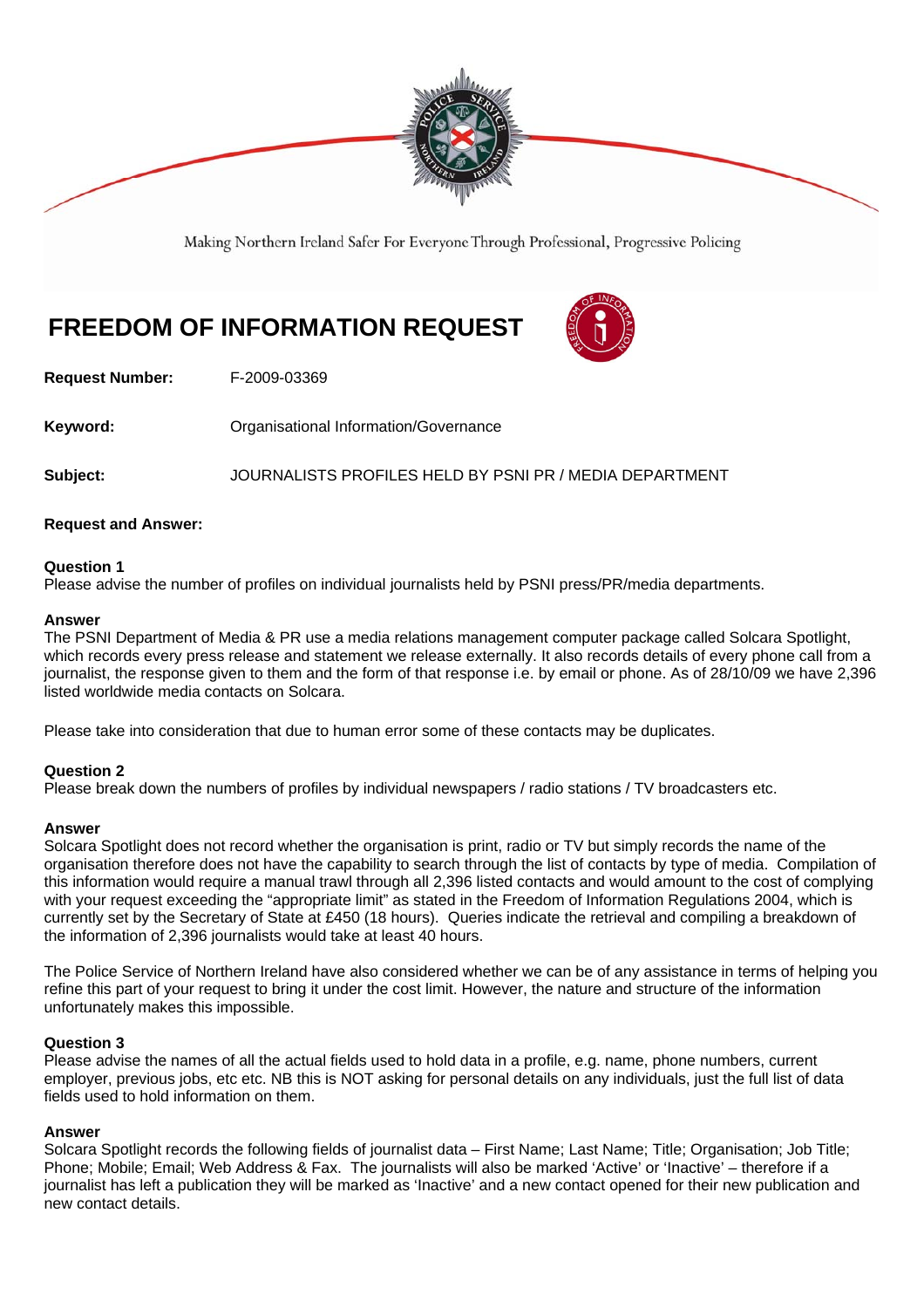

Making Northern Ireland Safer For Everyone Through Professional, Progressive Policing

# **FREEDOM OF INFORMATION REQUEST**



**Request Number:** F-2009-03369

**Keyword: Communistry Communistional Information/Governance** 

**Subject:** JOURNALISTS PROFILES HELD BY PSNI PR / MEDIA DEPARTMENT

## **Request and Answer:**

## **Question 1**

Please advise the number of profiles on individual journalists held by PSNI press/PR/media departments.

## **Answer**

The PSNI Department of Media & PR use a media relations management computer package called Solcara Spotlight, which records every press release and statement we release externally. It also records details of every phone call from a journalist, the response given to them and the form of that response i.e. by email or phone. As of 28/10/09 we have 2,396 listed worldwide media contacts on Solcara.

Please take into consideration that due to human error some of these contacts may be duplicates.

## **Question 2**

Please break down the numbers of profiles by individual newspapers / radio stations / TV broadcasters etc.

#### **Answer**

Solcara Spotlight does not record whether the organisation is print, radio or TV but simply records the name of the organisation therefore does not have the capability to search through the list of contacts by type of media. Compilation of this information would require a manual trawl through all 2,396 listed contacts and would amount to the cost of complying with your request exceeding the "appropriate limit" as stated in the Freedom of Information Regulations 2004, which is currently set by the Secretary of State at £450 (18 hours). Queries indicate the retrieval and compiling a breakdown of the information of 2,396 journalists would take at least 40 hours.

The Police Service of Northern Ireland have also considered whether we can be of any assistance in terms of helping you refine this part of your request to bring it under the cost limit. However, the nature and structure of the information unfortunately makes this impossible.

#### **Question 3**

Please advise the names of all the actual fields used to hold data in a profile, e.g. name, phone numbers, current employer, previous jobs, etc etc. NB this is NOT asking for personal details on any individuals, just the full list of data fields used to hold information on them.

#### **Answer**

Solcara Spotlight records the following fields of journalist data – First Name; Last Name; Title; Organisation; Job Title; Phone; Mobile; Email; Web Address & Fax. The journalists will also be marked 'Active' or 'Inactive' – therefore if a journalist has left a publication they will be marked as 'Inactive' and a new contact opened for their new publication and new contact details.